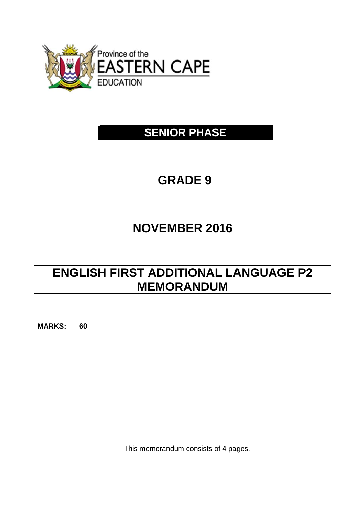

## **SENIOR PHASE**

# **GRADE 9**

## **NOVEMBER 2016**

## **ENGLISH FIRST ADDITIONAL LANGUAGE P2 MEMORANDUM**

**MARKS: 60**

This memorandum consists of 4 pages.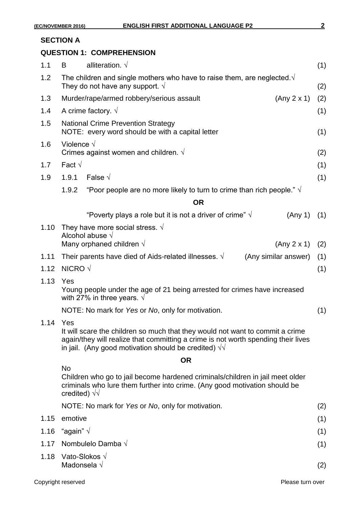## **SECTION A**

## **QUESTION 1: COMPREHENSION**

| 1.1  | B                                                                                                                                                                                                                                  | alliteration. $\sqrt{ }$                                                       |         | (1)        |  |
|------|------------------------------------------------------------------------------------------------------------------------------------------------------------------------------------------------------------------------------------|--------------------------------------------------------------------------------|---------|------------|--|
| 1.2  | The children and single mothers who have to raise them, are neglected $\sqrt{ }$<br>They do not have any support. $\sqrt{ }$                                                                                                       |                                                                                |         |            |  |
| 1.3  | (Any 2 x 1)<br>Murder/rape/armed robbery/serious assault                                                                                                                                                                           |                                                                                |         | (2)        |  |
| 1.4  | A crime factory. $\sqrt{ }$                                                                                                                                                                                                        |                                                                                |         |            |  |
| 1.5  | <b>National Crime Prevention Strategy</b><br>NOTE: every word should be with a capital letter                                                                                                                                      |                                                                                |         |            |  |
| 1.6  | Violence $\sqrt$<br>Crimes against women and children. $\sqrt{ }$                                                                                                                                                                  |                                                                                |         |            |  |
| 1.7  | Fact $\sqrt{ }$                                                                                                                                                                                                                    |                                                                                |         |            |  |
| 1.9  | 1.9.1                                                                                                                                                                                                                              | False $\sqrt{ }$                                                               |         | (1)        |  |
|      | 1.9.2                                                                                                                                                                                                                              | "Poor people are no more likely to turn to crime than rich people." $\sqrt{ }$ |         |            |  |
|      |                                                                                                                                                                                                                                    | <b>OR</b>                                                                      |         |            |  |
|      |                                                                                                                                                                                                                                    | "Poverty plays a role but it is not a driver of crime" $\sqrt{ }$              | (Any 1) | (1)        |  |
| 1.10 |                                                                                                                                                                                                                                    | They have more social stress. $\sqrt{ }$<br>Alcohol abuse $\sqrt{}$            |         |            |  |
|      | Many orphaned children $\sqrt{}$<br>(Any 2 x 1)                                                                                                                                                                                    |                                                                                |         | (2)<br>(1) |  |
| 1.11 | Their parents have died of Aids-related illnesses. $\sqrt{ }$<br>(Any similar answer)                                                                                                                                              |                                                                                |         |            |  |
| 1.12 | NICRO $\sqrt$                                                                                                                                                                                                                      |                                                                                |         |            |  |
| 1.13 | Yes<br>Young people under the age of 21 being arrested for crimes have increased<br>with 27% in three years. $\sqrt{ }$                                                                                                            |                                                                                |         |            |  |
|      | NOTE: No mark for Yes or No, only for motivation.                                                                                                                                                                                  |                                                                                |         |            |  |
| 1.14 | Yes                                                                                                                                                                                                                                |                                                                                |         |            |  |
|      | It will scare the children so much that they would not want to commit a crime<br>again/they will realize that committing a crime is not worth spending their lives<br>in jail. (Any good motivation should be credited) $\sqrt{v}$ |                                                                                |         |            |  |
|      |                                                                                                                                                                                                                                    | <b>OR</b>                                                                      |         |            |  |
|      | <b>No</b><br>Children who go to jail become hardened criminals/children in jail meet older<br>criminals who lure them further into crime. (Any good motivation should be<br>credited) $\sqrt{v}$                                   |                                                                                |         |            |  |
|      |                                                                                                                                                                                                                                    | NOTE: No mark for Yes or No, only for motivation.                              |         | (2)        |  |
| 1.15 | emotive                                                                                                                                                                                                                            |                                                                                |         | (1)        |  |
| 1.16 | "again" $\sqrt{ }$                                                                                                                                                                                                                 |                                                                                |         | (1)        |  |
| 1.17 | Nombulelo Damba $\sqrt{}$                                                                                                                                                                                                          |                                                                                |         | (1)        |  |
| 1.18 | Vato-Slokos √<br>Madonsela $\sqrt{}$                                                                                                                                                                                               |                                                                                |         | (2)        |  |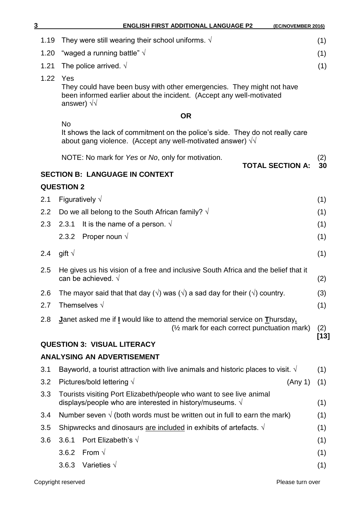| 3    | <b>ENGLISH FIRST ADDITIONAL LANGUAGE P2</b><br>(EC/NOVEMBER 2016)                                                                                                             |        |  |
|------|-------------------------------------------------------------------------------------------------------------------------------------------------------------------------------|--------|--|
| 1.19 | They were still wearing their school uniforms. $\sqrt{ }$                                                                                                                     | (1)    |  |
| 1.20 | "waged a running battle" $\sqrt{ }$                                                                                                                                           | (1)    |  |
| 1.21 | The police arrived. $\sqrt{ }$                                                                                                                                                | (1)    |  |
| 1.22 | Yes<br>They could have been busy with other emergencies. They might not have<br>been informed earlier about the incident. (Accept any well-motivated<br>answer) $\sqrt{v}$    |        |  |
|      | <b>OR</b><br><b>No</b><br>It shows the lack of commitment on the police's side. They do not really care<br>about gang violence. (Accept any well-motivated answer) $\sqrt{v}$ |        |  |
|      |                                                                                                                                                                               |        |  |
|      | NOTE: No mark for Yes or No, only for motivation.                                                                                                                             | (2)    |  |
|      | <b>TOTAL SECTION A:</b><br><b>SECTION B: LANGUAGE IN CONTEXT</b>                                                                                                              | 30     |  |
|      | <b>QUESTION 2</b>                                                                                                                                                             |        |  |
| 2.1  | Figuratively $\sqrt{}$                                                                                                                                                        |        |  |
| 2.2  | Do we all belong to the South African family? $\sqrt{ }$                                                                                                                      | (1)    |  |
| 2.3  | It is the name of a person. $\sqrt{ }$<br>2.3.1                                                                                                                               | (1)    |  |
|      | 2.3.2 Proper noun $\sqrt{ }$                                                                                                                                                  | (1)    |  |
| 2.4  | gift $\sqrt{ }$                                                                                                                                                               |        |  |
| 2.5  | He gives us his vision of a free and inclusive South Africa and the belief that it<br>can be achieved. $\sqrt{ }$                                                             |        |  |
| 2.6  | The mayor said that that day ( $\sqrt{ }$ ) was ( $\sqrt{ }$ ) a sad day for their ( $\sqrt{ }$ ) country.                                                                    | (3)    |  |
| 2.7  | Themselves $\sqrt{}$                                                                                                                                                          | (1)    |  |
| 2.8  | Janet asked me if I would like to attend the memorial service on Thursday.<br>(1/2 mark for each correct punctuation mark)                                                    |        |  |
|      | <b>QUESTION 3: VISUAL LITERACY</b>                                                                                                                                            | $[13]$ |  |
|      | <b>ANALYSING AN ADVERTISEMENT</b>                                                                                                                                             |        |  |
| 3.1  | Bayworld, a tourist attraction with live animals and historic places to visit. $\sqrt{ }$                                                                                     | (1)    |  |
| 3.2  | Pictures/bold lettering $\sqrt{}$<br>(Any 1)                                                                                                                                  | (1)    |  |
| 3.3  | Tourists visiting Port Elizabeth/people who want to see live animal<br>displays/people who are interested in history/museums. $\sqrt{ }$                                      | (1)    |  |
| 3.4  | Number seven $\sqrt{}$ (both words must be written out in full to earn the mark)                                                                                              | (1)    |  |
| 3.5  | Shipwrecks and dinosaurs are included in exhibits of artefacts. $\sqrt{ }$                                                                                                    | (1)    |  |
| 3.6  | Port Elizabeth's $\sqrt{ }$<br>3.6.1                                                                                                                                          | (1)    |  |
|      | 3.6.2 From $\sqrt{ }$                                                                                                                                                         | (1)    |  |
|      | 3.6.3 Varieties $\sqrt{ }$                                                                                                                                                    | (1)    |  |
|      |                                                                                                                                                                               |        |  |